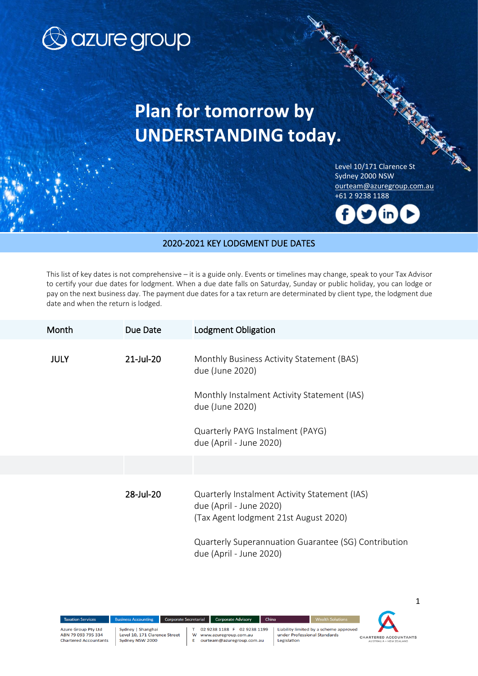

## **Plan for tomorrow by UNDERSTANDING today.**

North Card Level 10/171 Clarence St Sydney 2000 NSW [ourteam@azuregroup.com.au](mailto:ourteam@azuregroup.com.au) +61 2 9238 1188

Key Lodgment Due Dates



## 2020-2021 KEY LODGMENT DUE DATES

This list of key dates is not comprehensive – it is a guide only. Events or timelines may change, speak to your Tax Advisor to certify your due dates for lodgment. When a due date falls on Saturday, Sunday or public holiday, you can lodge or pay on the next business day. The payment due dates for a tax return are determinated by client type, the lodgment due date and when the return is lodged.

| Month       | Due Date     | <b>Lodgment Obligation</b>                                                                                                                                                                           |
|-------------|--------------|------------------------------------------------------------------------------------------------------------------------------------------------------------------------------------------------------|
| <b>JULY</b> | $21$ -Jul-20 | Monthly Business Activity Statement (BAS)<br>due (June 2020)<br>Monthly Instalment Activity Statement (IAS)<br>due (June 2020)<br>Quarterly PAYG Instalment (PAYG)<br>due (April - June 2020)        |
|             |              |                                                                                                                                                                                                      |
|             | 28-Jul-20    | Quarterly Instalment Activity Statement (IAS)<br>due (April - June 2020)<br>(Tax Agent lodgment 21st August 2020)<br>Quarterly Superannuation Guarantee (SG) Contribution<br>due (April - June 2020) |

ABN 79 093 795 334

Corporate Secretarial w Ė

02 9238 1188 F 02 9238 1199 www.azuregroup.com.au<br>ourteam@azuregroup.com.au

Corporate Advisory

Liability limited by a scheme approved under Professional Standards Legislation

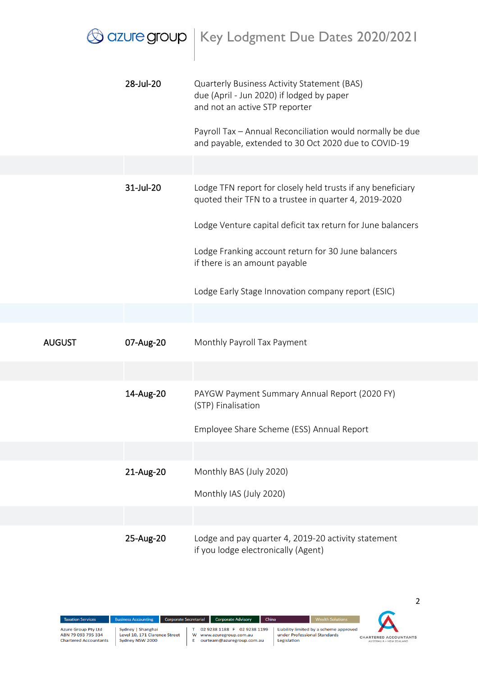|                            | $\bigcirc$ azure group $\bigm $ Key Lodgment Due Dates 2020/2021                                                           |
|----------------------------|----------------------------------------------------------------------------------------------------------------------------|
| 28-Jul-20                  | Quarterly Business Activity Statement (BAS)<br>due (April - Jun 2020) if lodged by paper<br>and not an active STP reporter |
|                            | Payroll Tax - Annual Reconciliation would normally be due<br>and payable, extended to 30 Oct 2020 due to COVID-19          |
|                            |                                                                                                                            |
| 31-Jul-20                  | Lodge TFN report for closely held trusts if any beneficiary<br>quoted their TFN to a trustee in quarter 4, 2019-2020       |
|                            | Lodge Venture capital deficit tax return for June balancers                                                                |
|                            | Lodge Franking account return for 30 June balancers<br>if there is an amount payable                                       |
|                            | Lodge Early Stage Innovation company report (ESIC)                                                                         |
|                            |                                                                                                                            |
| 07-Aug-20<br><b>AUGUST</b> | Monthly Payroll Tax Payment                                                                                                |
|                            |                                                                                                                            |
| 14-Aug-20                  | PAYGW Payment Summary Annual Report (2020 FY)<br>(STP) Finalisation                                                        |
|                            | Employee Share Scheme (ESS) Annual Report                                                                                  |
|                            |                                                                                                                            |
| 21-Aug-20                  | Monthly BAS (July 2020)                                                                                                    |
|                            | Monthly IAS (July 2020)                                                                                                    |
|                            |                                                                                                                            |
| 25-Aug-20                  | Lodge and pay quarter 4, 2019-20 activity statement<br>if you lodge electronically (Agent)                                 |

T 02 9238 1188 F 02 9238 1199<br>W www.azuregroup.com.au<br>E ourteam@azuregroup.com.au

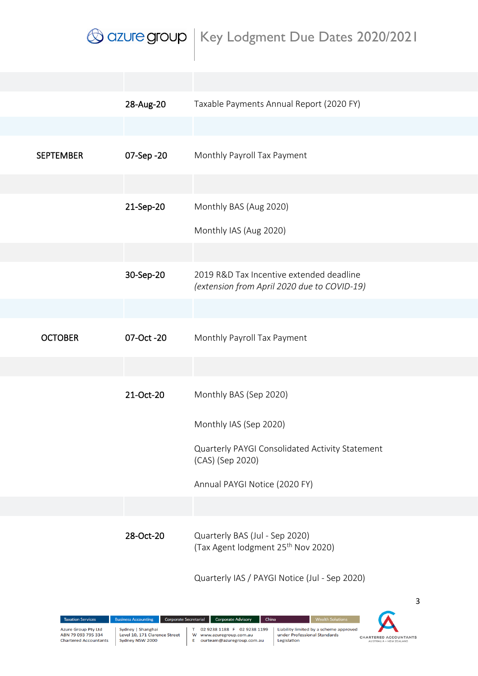|                  | 28-Aug-20  | Taxable Payments Annual Report (2020 FY)                                                |
|------------------|------------|-----------------------------------------------------------------------------------------|
|                  |            |                                                                                         |
| <b>SEPTEMBER</b> | 07-Sep -20 | Monthly Payroll Tax Payment                                                             |
|                  |            |                                                                                         |
|                  | 21-Sep-20  | Monthly BAS (Aug 2020)                                                                  |
|                  |            | Monthly IAS (Aug 2020)                                                                  |
|                  |            |                                                                                         |
|                  | 30-Sep-20  | 2019 R&D Tax Incentive extended deadline<br>(extension from April 2020 due to COVID-19) |
|                  |            |                                                                                         |
| <b>OCTOBER</b>   | 07-Oct -20 | Monthly Payroll Tax Payment                                                             |
|                  |            |                                                                                         |
|                  | 21-Oct-20  | Monthly BAS (Sep 2020)                                                                  |
|                  |            | Monthly IAS (Sep 2020)                                                                  |
|                  |            | Quarterly PAYGI Consolidated Activity Statement<br>(CAS) (Sep 2020)                     |
|                  |            | Annual PAYGI Notice (2020 FY)                                                           |
|                  |            |                                                                                         |
|                  | 28-Oct-20  | Quarterly BAS (Jul - Sep 2020)<br>(Tax Agent lodgment 25 <sup>th</sup> Nov 2020)        |
|                  |            | Quarterly IAS / PAYGI Notice (Jul - Sep 2020)                                           |
|                  |            | 3                                                                                       |

 $\mathsf T$ 

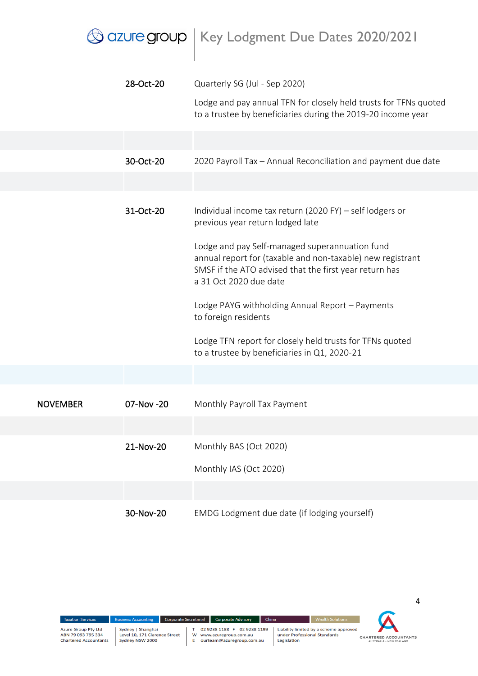|                 |           | $\beta$ azure group $\, \bigm  \,$ Key Lodgment Due Dates 2020/2021                                                                                                                              |
|-----------------|-----------|--------------------------------------------------------------------------------------------------------------------------------------------------------------------------------------------------|
|                 | 28-Oct-20 | Quarterly SG (Jul - Sep 2020)                                                                                                                                                                    |
|                 |           | Lodge and pay annual TFN for closely held trusts for TFNs quoted<br>to a trustee by beneficiaries during the 2019-20 income year                                                                 |
|                 |           |                                                                                                                                                                                                  |
|                 | 30-Oct-20 | 2020 Payroll Tax - Annual Reconciliation and payment due date                                                                                                                                    |
|                 |           |                                                                                                                                                                                                  |
|                 | 31-Oct-20 | Individual income tax return (2020 FY) – self lodgers or<br>previous year return lodged late                                                                                                     |
|                 |           | Lodge and pay Self-managed superannuation fund<br>annual report for (taxable and non-taxable) new registrant<br>SMSF if the ATO advised that the first year return has<br>a 31 Oct 2020 due date |
|                 |           | Lodge PAYG withholding Annual Report - Payments<br>to foreign residents                                                                                                                          |
|                 |           | Lodge TFN report for closely held trusts for TFNs quoted<br>to a trustee by beneficiaries in Q1, 2020-21                                                                                         |
|                 |           |                                                                                                                                                                                                  |
| <b>NOVEMBER</b> | 07-Nov-20 | Monthly Payroll Tax Payment                                                                                                                                                                      |
|                 |           |                                                                                                                                                                                                  |
|                 | 21-Nov-20 | Monthly BAS (Oct 2020)                                                                                                                                                                           |
|                 |           | Monthly IAS (Oct 2020)                                                                                                                                                                           |
|                 |           |                                                                                                                                                                                                  |
|                 | 30-Nov-20 | EMDG Lodgment due date (if lodging yourself)                                                                                                                                                     |



Sydney | Shanghai<br>Level 10, 171 Clarence Street<br>Sydney NSW 2000

T 02 9238 1188 F 02 9238 1199

W www.azuregroup.com.au<br>E ourteam@azuregroup.com.au

Liability limited by a scheme approved<br>under Professional Standards<br>Legislation



 $\overline{4}$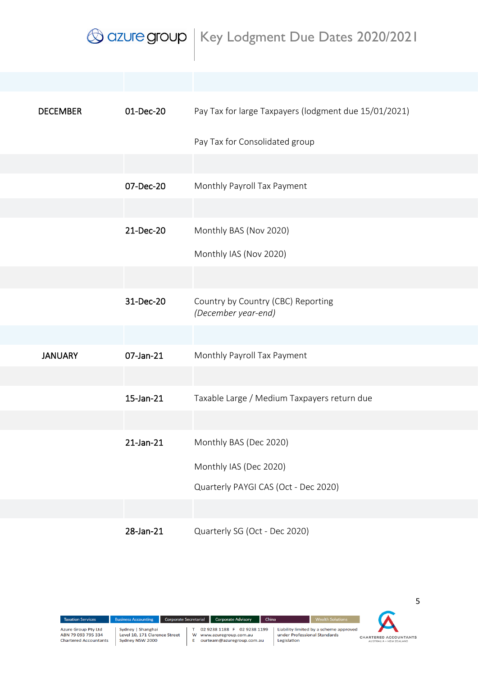| <b>DECEMBER</b> | 01-Dec-20 | Pay Tax for large Taxpayers (lodgment due 15/01/2021)     |
|-----------------|-----------|-----------------------------------------------------------|
|                 |           | Pay Tax for Consolidated group                            |
|                 |           |                                                           |
|                 | 07-Dec-20 | Monthly Payroll Tax Payment                               |
|                 |           |                                                           |
|                 | 21-Dec-20 | Monthly BAS (Nov 2020)                                    |
|                 |           | Monthly IAS (Nov 2020)                                    |
|                 |           |                                                           |
|                 | 31-Dec-20 | Country by Country (CBC) Reporting<br>(December year-end) |
|                 |           |                                                           |
| <b>JANUARY</b>  | 07-Jan-21 | Monthly Payroll Tax Payment                               |
|                 |           |                                                           |
|                 | 15-Jan-21 | Taxable Large / Medium Taxpayers return due               |
|                 |           |                                                           |
|                 | 21-Jan-21 | Monthly BAS (Dec 2020)                                    |
|                 |           | Monthly IAS (Dec 2020)                                    |
|                 |           | Quarterly PAYGI CAS (Oct - Dec 2020)                      |
|                 |           |                                                           |
|                 | 28-Jan-21 | Quarterly SG (Oct - Dec 2020)                             |

02 9238 1188 F 02 9238 1199  $\mathsf T$ 

Business Accounting Corporate Secretarial Corporate Advisory China

W www.azuregroup.com.au<br>E ourteam@azuregroup.com.au

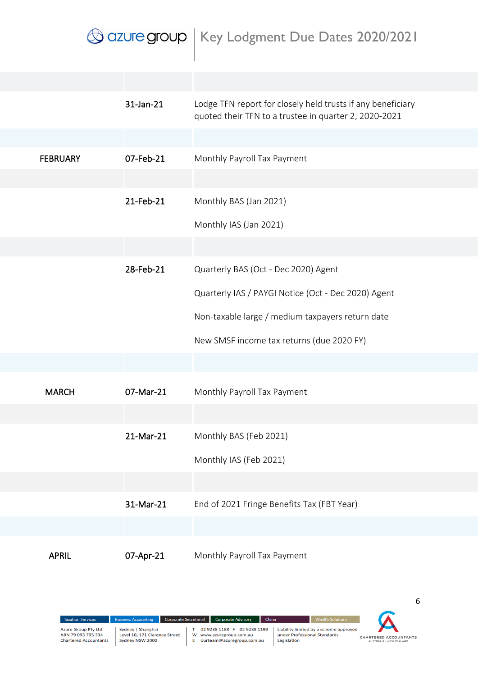|                 | 31-Jan-21 | Lodge TFN report for closely held trusts if any beneficiary<br>quoted their TFN to a trustee in quarter 2, 2020-2021 |
|-----------------|-----------|----------------------------------------------------------------------------------------------------------------------|
|                 |           |                                                                                                                      |
| <b>FEBRUARY</b> | 07-Feb-21 | Monthly Payroll Tax Payment                                                                                          |
|                 |           |                                                                                                                      |
|                 | 21-Feb-21 | Monthly BAS (Jan 2021)                                                                                               |
|                 |           | Monthly IAS (Jan 2021)                                                                                               |
|                 |           |                                                                                                                      |
|                 | 28-Feb-21 | Quarterly BAS (Oct - Dec 2020) Agent                                                                                 |
|                 |           | Quarterly IAS / PAYGI Notice (Oct - Dec 2020) Agent                                                                  |
|                 |           | Non-taxable large / medium taxpayers return date                                                                     |
|                 |           | New SMSF income tax returns (due 2020 FY)                                                                            |
|                 |           |                                                                                                                      |
| <b>MARCH</b>    | 07-Mar-21 | Monthly Payroll Tax Payment                                                                                          |
|                 |           |                                                                                                                      |
|                 | 21-Mar-21 | Monthly BAS (Feb 2021)                                                                                               |
|                 |           | Monthly IAS (Feb 2021)                                                                                               |
|                 |           |                                                                                                                      |
|                 | 31-Mar-21 | End of 2021 Fringe Benefits Tax (FBT Year)                                                                           |
|                 |           |                                                                                                                      |
| <b>APRIL</b>    | 07-Apr-21 | Monthly Payroll Tax Payment                                                                                          |

02 9238 1188 F 02 9238 1199  $\mathsf T$ W www.azuregroup.com.au<br>E ourteam@azuregroup.com.au

iness Accounting Corporate Secretarial Corporate Advisory China

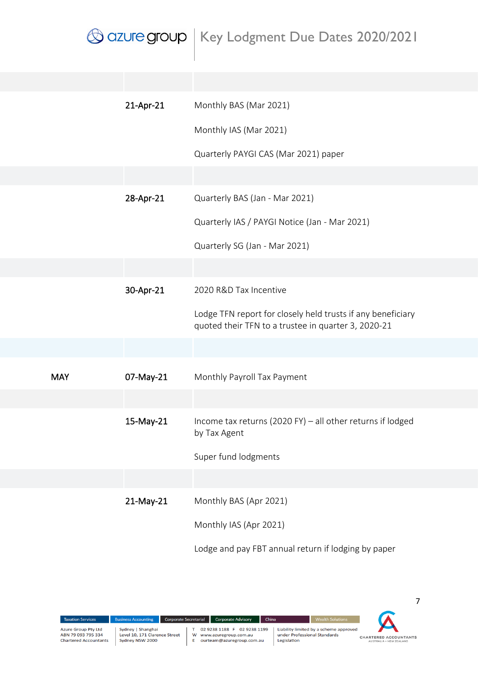|            | 21-Apr-21 | Monthly BAS (Mar 2021)                                                                                             |
|------------|-----------|--------------------------------------------------------------------------------------------------------------------|
|            |           | Monthly IAS (Mar 2021)                                                                                             |
|            |           | Quarterly PAYGI CAS (Mar 2021) paper                                                                               |
|            |           |                                                                                                                    |
|            | 28-Apr-21 | Quarterly BAS (Jan - Mar 2021)                                                                                     |
|            |           | Quarterly IAS / PAYGI Notice (Jan - Mar 2021)                                                                      |
|            |           | Quarterly SG (Jan - Mar 2021)                                                                                      |
|            |           |                                                                                                                    |
|            | 30-Apr-21 | 2020 R&D Tax Incentive                                                                                             |
|            |           | Lodge TFN report for closely held trusts if any beneficiary<br>quoted their TFN to a trustee in quarter 3, 2020-21 |
|            |           |                                                                                                                    |
| <b>MAY</b> | 07-May-21 | Monthly Payroll Tax Payment                                                                                        |
|            |           |                                                                                                                    |
|            | 15-May-21 | Income tax returns (2020 FY) - all other returns if lodged<br>by Tax Agent                                         |
|            |           | Super fund lodgments                                                                                               |
|            |           |                                                                                                                    |
|            | 21-May-21 | Monthly BAS (Apr 2021)                                                                                             |
|            |           | Monthly IAS (Apr 2021)                                                                                             |
|            |           | Lodge and pay FBT annual return if lodging by paper                                                                |

ABN 79 093 795 334<br>Chartered Accountants

iness Accounting Corporate Secretarial Corporate Advisory China